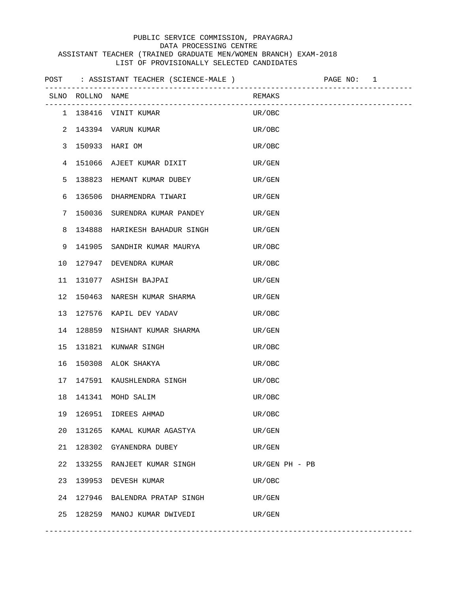|    |                  | POST : ASSISTANT TEACHER (SCIENCE-MALE ) |                  | PAGE NO: 1 |  |
|----|------------------|------------------------------------------|------------------|------------|--|
|    | SLNO ROLLNO NAME |                                          | REMAKS           |            |  |
|    |                  | 1 138416 VINIT KUMAR                     | UR/OBC           |            |  |
|    |                  | 2 143394 VARUN KUMAR                     | UR/OBC           |            |  |
| 3  |                  | 150933 HARI OM                           | UR/OBC           |            |  |
|    |                  | 4 151066 AJEET KUMAR DIXIT               | UR/GEN           |            |  |
| 5  |                  | 138823 HEMANT KUMAR DUBEY                | UR/GEN           |            |  |
| 6  |                  | 136506 DHARMENDRA TIWARI                 | UR/GEN           |            |  |
| 7  |                  | 150036 SURENDRA KUMAR PANDEY             | UR/GEN           |            |  |
| 8  |                  | 134888 HARIKESH BAHADUR SINGH            | UR/GEN           |            |  |
| 9  |                  | 141905 SANDHIR KUMAR MAURYA              | UR/OBC           |            |  |
| 10 |                  | 127947 DEVENDRA KUMAR                    | UR/OBC           |            |  |
| 11 |                  | 131077 ASHISH BAJPAI                     | UR/GEN           |            |  |
| 12 |                  | 150463 NARESH KUMAR SHARMA               | UR/GEN           |            |  |
| 13 |                  | 127576 KAPIL DEV YADAV                   | UR/OBC           |            |  |
| 14 |                  | 128859 NISHANT KUMAR SHARMA              | UR/GEN           |            |  |
| 15 |                  | 131821 KUNWAR SINGH                      | UR/OBC           |            |  |
| 16 |                  | 150308 ALOK SHAKYA                       | UR/OBC           |            |  |
| 17 |                  | 147591 KAUSHLENDRA SINGH                 | UR/OBC           |            |  |
| 18 |                  | 141341 MOHD SALIM                        | UR/OBC           |            |  |
| 19 | 126951           | IDREES AHMAD                             | UR/OBC           |            |  |
| 20 | 131265           | KAMAL KUMAR AGASTYA                      | UR/GEN           |            |  |
| 21 |                  | 128302 GYANENDRA DUBEY                   | UR/GEN           |            |  |
| 22 |                  | 133255 RANJEET KUMAR SINGH               | $UR/GEN PH - PB$ |            |  |
| 23 | 139953           | DEVESH KUMAR                             | UR/OBC           |            |  |
| 24 | 127946           | BALENDRA PRATAP SINGH                    | UR/GEN           |            |  |
| 25 |                  | 128259 MANOJ KUMAR DWIVEDI               | UR/GEN           |            |  |

-----------------------------------------------------------------------------------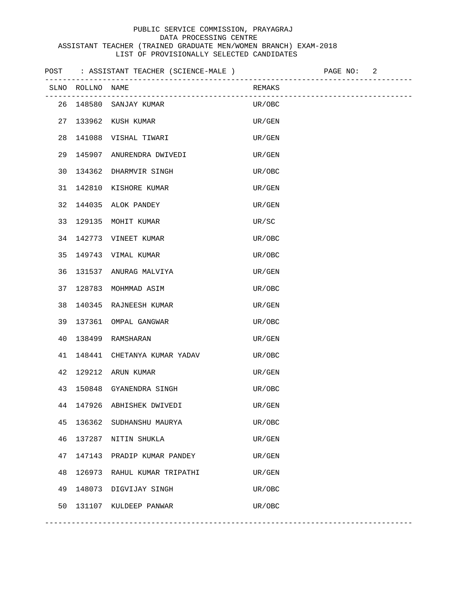|    |                  | POST : ASSISTANT TEACHER (SCIENCE-MALE ) |                            | PAGE NO: 2 |                         |
|----|------------------|------------------------------------------|----------------------------|------------|-------------------------|
|    | SLNO ROLLNO NAME |                                          | REMAKS                     |            | ----------------------- |
|    |                  | 26 148580 SANJAY KUMAR                   | UR/OBC                     |            |                         |
| 27 |                  | 133962 KUSH KUMAR                        | UR/GEN                     |            |                         |
| 28 |                  | 141088 VISHAL TIWARI                     | UR/GEN                     |            |                         |
| 29 |                  | 145907 ANURENDRA DWIVEDI                 | UR/GEN                     |            |                         |
| 30 |                  | 134362 DHARMVIR SINGH                    | UR/OBC                     |            |                         |
| 31 |                  | 142810 KISHORE KUMAR                     | UR/GEN                     |            |                         |
| 32 |                  | 144035 ALOK PANDEY                       | UR/GEN                     |            |                         |
| 33 |                  | 129135 MOHIT KUMAR                       | UR/SC                      |            |                         |
| 34 |                  | 142773 VINEET KUMAR                      | UR/OBC                     |            |                         |
| 35 |                  | 149743 VIMAL KUMAR                       | UR/OBC                     |            |                         |
| 36 |                  | 131537 ANURAG MALVIYA                    | UR/GEN                     |            |                         |
| 37 |                  | 128783 MOHMMAD ASIM                      | UR/OBC                     |            |                         |
| 38 |                  | 140345 RAJNEESH KUMAR                    | UR/GEN                     |            |                         |
| 39 |                  | 137361 OMPAL GANGWAR                     | UR/OBC                     |            |                         |
| 40 |                  | 138499 RAMSHARAN                         | UR/GEN                     |            |                         |
| 41 |                  | 148441 CHETANYA KUMAR YADAV              | UR/OBC                     |            |                         |
| 42 |                  | 129212 ARUN KUMAR                        | UR/GEN                     |            |                         |
| 43 |                  | 150848 GYANENDRA SINGH                   | UR/OBC                     |            |                         |
| 44 | 147926           | ABHISHEK DWIVEDI                         | $\mathrm{UR}/\mathrm{GEN}$ |            |                         |
| 45 | 136362           | SUDHANSHU MAURYA                         | UR/OBC                     |            |                         |
| 46 | 137287           | NITIN SHUKLA                             | UR/GEN                     |            |                         |
| 47 | 147143           | PRADIP KUMAR PANDEY                      | UR/GEN                     |            |                         |
| 48 | 126973           | RAHUL KUMAR TRIPATHI                     | UR/GEN                     |            |                         |
| 49 |                  | 148073 DIGVIJAY SINGH                    | UR/OBC                     |            |                         |
| 50 |                  | 131107 KULDEEP PANWAR                    | UR/OBC                     |            |                         |

-----------------------------------------------------------------------------------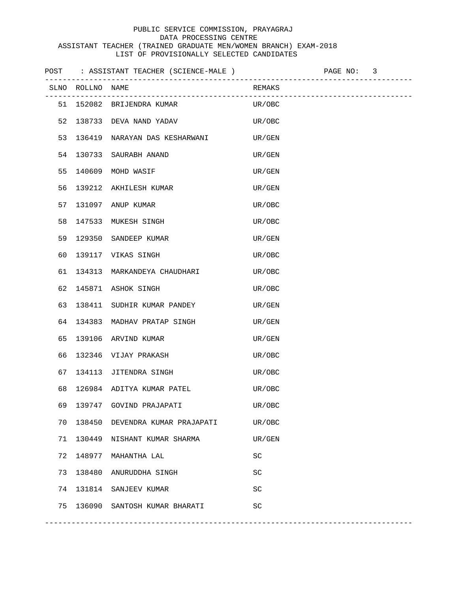|    |                  | POST : ASSISTANT TEACHER (SCIENCE-MALE ) |           | PAGE NO: 3 |  |
|----|------------------|------------------------------------------|-----------|------------|--|
|    | SLNO ROLLNO NAME |                                          | REMAKS    |            |  |
|    |                  | 51 152082 BRIJENDRA KUMAR                | UR/OBC    |            |  |
| 52 |                  | 138733 DEVA NAND YADAV                   | UR/OBC    |            |  |
| 53 |                  | 136419 NARAYAN DAS KESHARWANI            | UR/GEN    |            |  |
| 54 |                  | 130733 SAURABH ANAND                     | UR/GEN    |            |  |
| 55 |                  | 140609 MOHD WASIF                        | UR/GEN    |            |  |
| 56 |                  | 139212 AKHILESH KUMAR                    | UR/GEN    |            |  |
| 57 |                  | 131097 ANUP KUMAR                        | UR/OBC    |            |  |
| 58 |                  | 147533 MUKESH SINGH                      | UR/OBC    |            |  |
| 59 |                  | 129350 SANDEEP KUMAR                     | UR/GEN    |            |  |
| 60 |                  | 139117 VIKAS SINGH                       | UR/OBC    |            |  |
| 61 |                  | 134313 MARKANDEYA CHAUDHARI              | UR/OBC    |            |  |
| 62 |                  | 145871 ASHOK SINGH                       | UR/OBC    |            |  |
| 63 |                  | 138411 SUDHIR KUMAR PANDEY               | UR/GEN    |            |  |
| 64 |                  | 134383 MADHAV PRATAP SINGH               | UR/GEN    |            |  |
| 65 |                  | 139106 ARVIND KUMAR                      | UR/GEN    |            |  |
| 66 |                  | 132346 VIJAY PRAKASH                     | UR/OBC    |            |  |
| 67 |                  | 134113 JITENDRA SINGH                    | UR/OBC    |            |  |
| 68 |                  | 126984 ADITYA KUMAR PATEL                | UR/OBC    |            |  |
| 69 |                  | 139747 GOVIND PRAJAPATI                  | UR/OBC    |            |  |
| 70 |                  | 138450 DEVENDRA KUMAR PRAJAPATI          | UR/OBC    |            |  |
| 71 |                  | 130449 NISHANT KUMAR SHARMA              | UR/GEN    |            |  |
| 72 |                  | 148977 MAHANTHA LAL                      | SC        |            |  |
| 73 |                  | 138480 ANURUDDHA SINGH                   | SC        |            |  |
|    |                  | 74 131814 SANJEEV KUMAR                  | <b>SC</b> |            |  |
| 75 |                  | 136090 SANTOSH KUMAR BHARATI             | <b>SC</b> |            |  |
|    |                  |                                          |           |            |  |